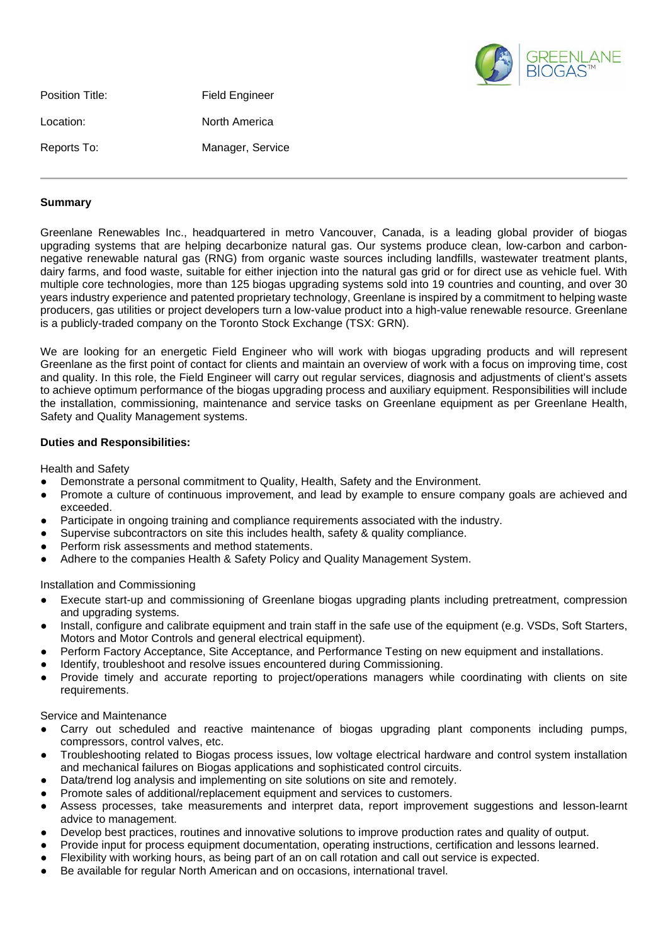

| Position Title: | <b>Field Engineer</b> |
|-----------------|-----------------------|
| Location:       | North America         |
| Reports To:     | Manager, Service      |

## **Summary**

Greenlane Renewables Inc., headquartered in metro Vancouver, Canada, is a leading global provider of biogas upgrading systems that are helping decarbonize natural gas. Our systems produce clean, low-carbon and carbonnegative renewable natural gas (RNG) from organic waste sources including landfills, wastewater treatment plants, dairy farms, and food waste, suitable for either injection into the natural gas grid or for direct use as vehicle fuel. With multiple core technologies, more than 125 biogas upgrading systems sold into 19 countries and counting, and over 30 years industry experience and patented proprietary technology, Greenlane is inspired by a commitment to helping waste producers, gas utilities or project developers turn a low-value product into a high-value renewable resource. Greenlane is a publicly-traded company on the Toronto Stock Exchange (TSX: GRN).

We are looking for an energetic Field Engineer who will work with biogas upgrading products and will represent Greenlane as the first point of contact for clients and maintain an overview of work with a focus on improving time, cost and quality. In this role, the Field Engineer will carry out regular services, diagnosis and adjustments of client's assets to achieve optimum performance of the biogas upgrading process and auxiliary equipment. Responsibilities will include the installation, commissioning, maintenance and service tasks on Greenlane equipment as per Greenlane Health, Safety and Quality Management systems.

## **Duties and Responsibilities:**

Health and Safety

- Demonstrate a personal commitment to Quality, Health, Safety and the Environment.
- Promote a culture of continuous improvement, and lead by example to ensure company goals are achieved and exceeded.
- Participate in ongoing training and compliance requirements associated with the industry.
- Supervise subcontractors on site this includes health, safety & quality compliance.
- Perform risk assessments and method statements.
- Adhere to the companies Health & Safety Policy and Quality Management System.

Installation and Commissioning

- Execute start-up and commissioning of Greenlane biogas upgrading plants including pretreatment, compression and upgrading systems.
- Install, configure and calibrate equipment and train staff in the safe use of the equipment (e.g. VSDs, Soft Starters, Motors and Motor Controls and general electrical equipment).
- Perform Factory Acceptance, Site Acceptance, and Performance Testing on new equipment and installations.
- Identify, troubleshoot and resolve issues encountered during Commissioning.
- Provide timely and accurate reporting to project/operations managers while coordinating with clients on site requirements.

Service and Maintenance

- Carry out scheduled and reactive maintenance of biogas upgrading plant components including pumps, compressors, control valves, etc.
- Troubleshooting related to Biogas process issues, low voltage electrical hardware and control system installation and mechanical failures on Biogas applications and sophisticated control circuits.
- Data/trend log analysis and implementing on site solutions on site and remotely.
- Promote sales of additional/replacement equipment and services to customers.
- Assess processes, take measurements and interpret data, report improvement suggestions and lesson-learnt advice to management.
- Develop best practices, routines and innovative solutions to improve production rates and quality of output.
- Provide input for process equipment documentation, operating instructions, certification and lessons learned.
- Flexibility with working hours, as being part of an on call rotation and call out service is expected.
- Be available for regular North American and on occasions, international travel.